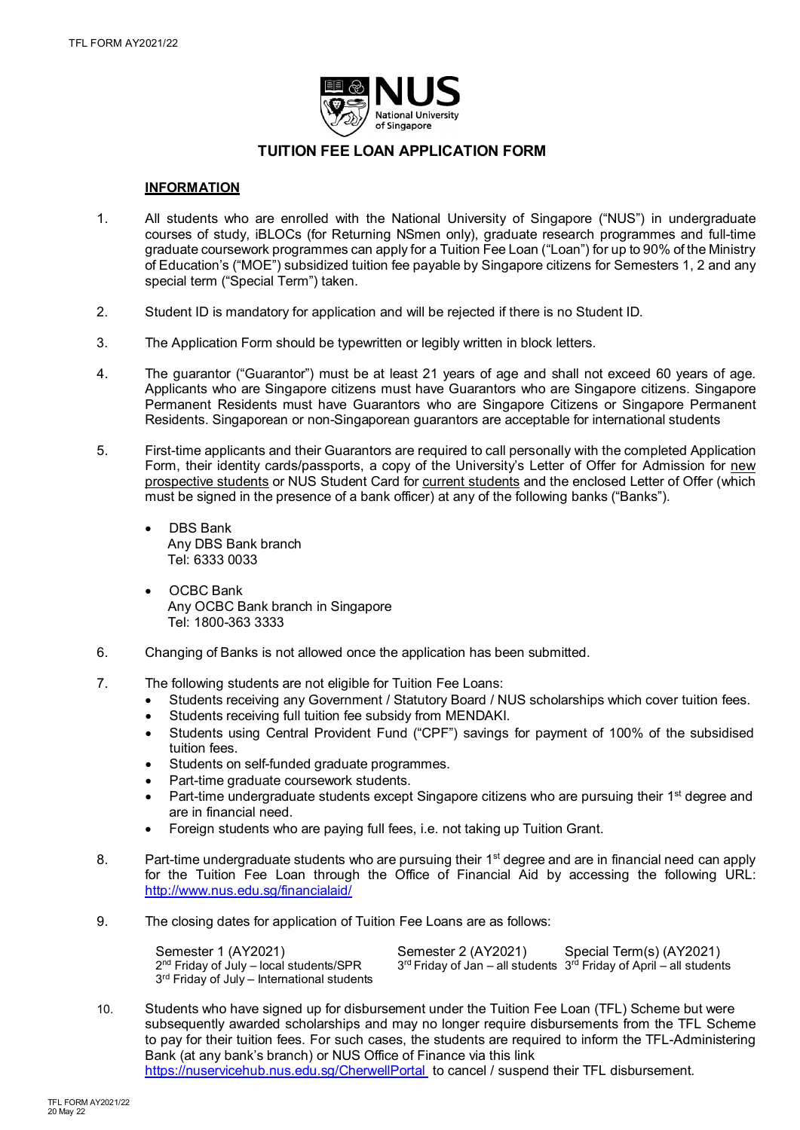

# **TUITION FEE LOAN APPLICATION FORM**

## **INFORMATION**

- 1. All students who are enrolled with the National University of Singapore ("NUS") in undergraduate courses of study, iBLOCs (for Returning NSmen only), graduate research programmes and full-time graduate coursework programmes can apply for a Tuition Fee Loan ("Loan") for up to 90% of the Ministry of Education's ("MOE") subsidized tuition fee payable by Singapore citizens for Semesters 1, 2 and any special term ("Special Term") taken.
- 2. Student ID is mandatory for application and will be rejected if there is no Student ID.
- 3. The Application Form should be typewritten or legibly written in block letters.
- 4. The guarantor ("Guarantor") must be at least 21 years of age and shall not exceed 60 years of age. Applicants who are Singapore citizens must have Guarantors who are Singapore citizens. Singapore Permanent Residents must have Guarantors who are Singapore Citizens or Singapore Permanent Residents. Singaporean or non-Singaporean guarantors are acceptable for international students
- 5. First-time applicants and their Guarantors are required to call personally with the completed Application Form, their identity cards/passports, a copy of the University's Letter of Offer for Admission for new prospective students or NUS Student Card for current students and the enclosed Letter of Offer (which must be signed in the presence of a bank officer) at any of the following banks ("Banks").
	- DBS Bank Any DBS Bank branch Tel: 6333 0033
	- OCBC Bank Any OCBC Bank branch in Singapore Tel: 1800-363 3333
- 6. Changing of Banks is not allowed once the application has been submitted.
- 7. The following students are not eligible for Tuition Fee Loans:
	- Students receiving any Government / Statutory Board / NUS scholarships which cover tuition fees.
	- Students receiving full tuition fee subsidy from MENDAKI.
	- Students using Central Provident Fund ("CPF") savings for payment of 100% of the subsidised tuition fees.
	- Students on self-funded graduate programmes.
	- Part-time graduate coursework students.
	- Part-time undergraduate students except Singapore citizens who are pursuing their 1<sup>st</sup> degree and are in financial need.
	- Foreign students who are paying full fees, i.e. not taking up Tuition Grant.
- 8. Part-time undergraduate students who are pursuing their 1<sup>st</sup> degree and are in financial need can apply for the Tuition Fee Loan through the Office of Financial Aid by accessing the following URL: <http://www.nus.edu.sg/financialaid/>
- 9. The closing dates for application of Tuition Fee Loans are as follows:

| Semester 1 (AY2021)                           | Semester 2 (AY2021) | Special Term(s) (AY2021)                                                                    |
|-----------------------------------------------|---------------------|---------------------------------------------------------------------------------------------|
| $2nd$ Friday of July – local students/SPR     |                     | $3^{\text{rd}}$ Friday of Jan – all students $3^{\text{rd}}$ Friday of April – all students |
| $3rd$ Friday of July – International students |                     |                                                                                             |

10. Students who have signed up for disbursement under the Tuition Fee Loan (TFL) Scheme but were subsequently awarded scholarships and may no longer require disbursements from the TFL Scheme to pay for their tuition fees. For such cases, the students are required to inform the TFL-Administering Bank (at any bank's branch) or NUS Office of Finance via this link

<https://nuservicehub.nus.edu.sg/CherwellPortal> to cancel / suspend their TFL disbursement.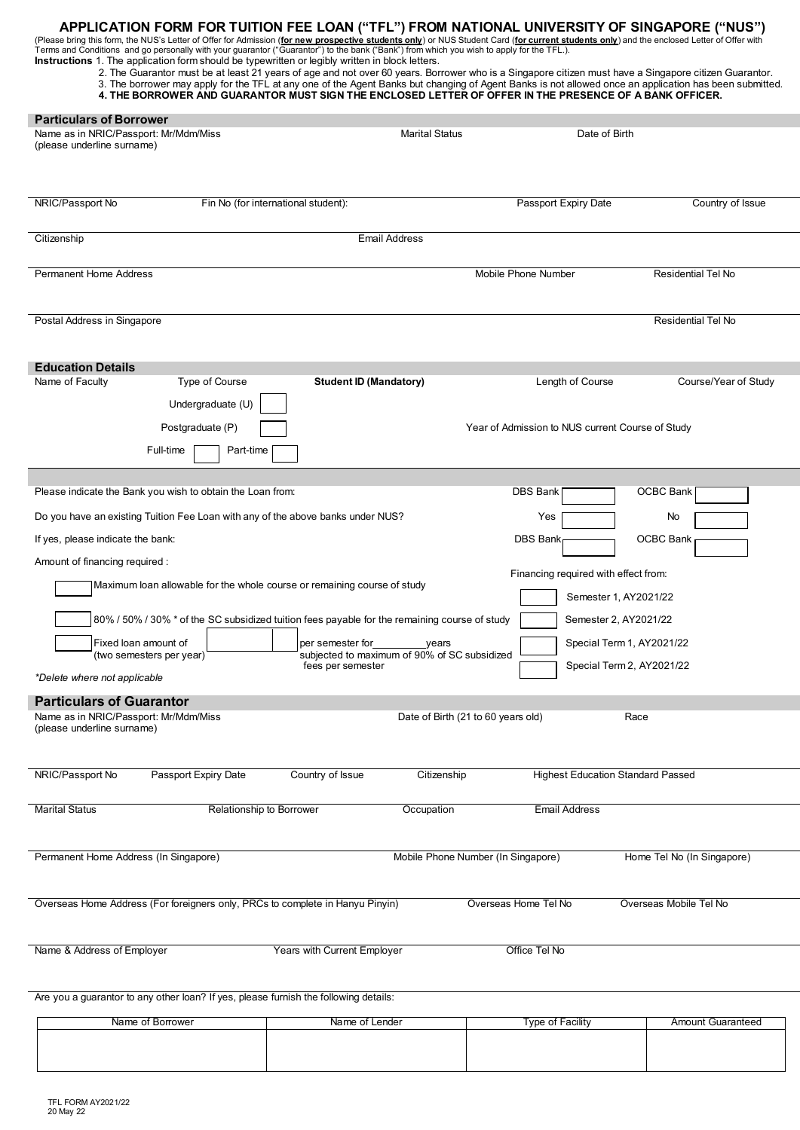**APPLICATION FORM FOR TUITION FEE LOAN ("TFL") FROM NATIONAL UNIVERSITY OF SINGAPORE ("NUS")**<br>(Please bring this form, the NUS's Letter of Offer for Admission (<u>for new prospective students only</u>) or NUS Student Card (<u>for</u>

| <b>Instructions</b> 1. The application form should be typewritten or legibly written in block letters. |  |  |  |  |  |  |  |  |  |  |  |
|--------------------------------------------------------------------------------------------------------|--|--|--|--|--|--|--|--|--|--|--|
|--------------------------------------------------------------------------------------------------------|--|--|--|--|--|--|--|--|--|--|--|

2. The Guarantor must be at least 21 years of age and not over 60 years. Borrower who is a Singapore citizen must have a Singapore citizen Guarantor. 3. The borrower may apply for the TFL at any one of the Agent Banks but changing of Agent Banks is not allowed once an application has been submitted. **4. THE BORROWER AND GUARANTOR MUST SIGN THE ENCLOSED LETTER OF OFFER IN THE PRESENCE OF A BANK OFFICER.**

| <b>Particulars of Borrower</b><br>Name as in NRIC/Passport: Mr/Mdm/Miss<br>(please underline surname) |                                                                                               |                                       | <b>Marital Status</b>                                 | Date of Birth                                                        |                            |
|-------------------------------------------------------------------------------------------------------|-----------------------------------------------------------------------------------------------|---------------------------------------|-------------------------------------------------------|----------------------------------------------------------------------|----------------------------|
| NRIC/Passport No                                                                                      | Fin No (for international student):                                                           |                                       |                                                       | Passport Expiry Date                                                 | Country of Issue           |
| Citizenship                                                                                           |                                                                                               | <b>Email Address</b>                  |                                                       |                                                                      |                            |
| <b>Permanent Home Address</b>                                                                         |                                                                                               |                                       |                                                       | Mobile Phone Number                                                  | Residential Tel No         |
| Postal Address in Singapore                                                                           |                                                                                               |                                       |                                                       |                                                                      | <b>Residential Tel No</b>  |
| <b>Education Details</b>                                                                              |                                                                                               |                                       |                                                       |                                                                      |                            |
| Name of Faculty<br>Postgraduate (P)<br>Full-time                                                      | Type of Course<br>Undergraduate (U)<br>Part-time                                              | <b>Student ID (Mandatory)</b>         |                                                       | Length of Course<br>Year of Admission to NUS current Course of Study | Course/Year of Study       |
| Please indicate the Bank you wish to obtain the Loan from:                                            |                                                                                               |                                       |                                                       | DBS Bank                                                             | OCBC Bank                  |
| Do you have an existing Tuition Fee Loan with any of the above banks under NUS?                       |                                                                                               |                                       |                                                       | Yes                                                                  | No                         |
| If yes, please indicate the bank:                                                                     |                                                                                               |                                       |                                                       | DBS Bank                                                             | <b>OCBC Bank</b>           |
| Amount of financing required :                                                                        |                                                                                               |                                       |                                                       |                                                                      |                            |
|                                                                                                       | Maximum loan allowable for the whole course or remaining course of study                      |                                       |                                                       | Financing required with effect from:<br>Semester 1, AY2021/22        |                            |
|                                                                                                       | 80% / 50% / 30% * of the SC subsidized tuition fees payable for the remaining course of study |                                       |                                                       | Semester 2, AY2021/22                                                |                            |
| Fixed loan amount of<br>(two semesters per year)                                                      |                                                                                               | per semester for<br>fees per semester | years<br>subjected to maximum of 90% of SC subsidized | Special Term 1, AY2021/22<br>Special Term 2, AY2021/22               |                            |
| *Delete where not applicable                                                                          |                                                                                               |                                       |                                                       |                                                                      |                            |
| <b>Particulars of Guarantor</b>                                                                       |                                                                                               |                                       |                                                       |                                                                      |                            |
| Name as in NRIC/Passport: Mr/Mdm/Miss<br>(please underline surname)                                   |                                                                                               |                                       | Date of Birth (21 to 60 years old)                    |                                                                      | Race                       |
| NRIC/Passport No<br>Passport Expiry Date                                                              |                                                                                               | Country of Issue                      | Citizenship                                           | <b>Highest Education Standard Passed</b>                             |                            |
| <b>Marital Status</b>                                                                                 | Relationship to Borrower                                                                      |                                       | Occupation                                            | <b>Email Address</b>                                                 |                            |
| Permanent Home Address (In Singapore)                                                                 |                                                                                               |                                       | Mobile Phone Number (In Singapore)                    |                                                                      | Home Tel No (In Singapore) |
| Overseas Home Address (For foreigners only, PRCs to complete in Hanyu Pinyin)                         |                                                                                               |                                       |                                                       | Overseas Home Tel No                                                 | Overseas Mobile Tel No     |
| Name & Address of Employer                                                                            |                                                                                               | Years with Current Employer           |                                                       | Office Tel No                                                        |                            |
| Are you a guarantor to any other loan? If yes, please furnish the following details:                  |                                                                                               |                                       |                                                       |                                                                      |                            |

| Name of<br>≀ Borrower | Lender<br>\lame_ot l | Tvpe of Facility | Amount Guaranteed |
|-----------------------|----------------------|------------------|-------------------|
|                       |                      |                  |                   |
|                       |                      |                  |                   |
|                       |                      |                  |                   |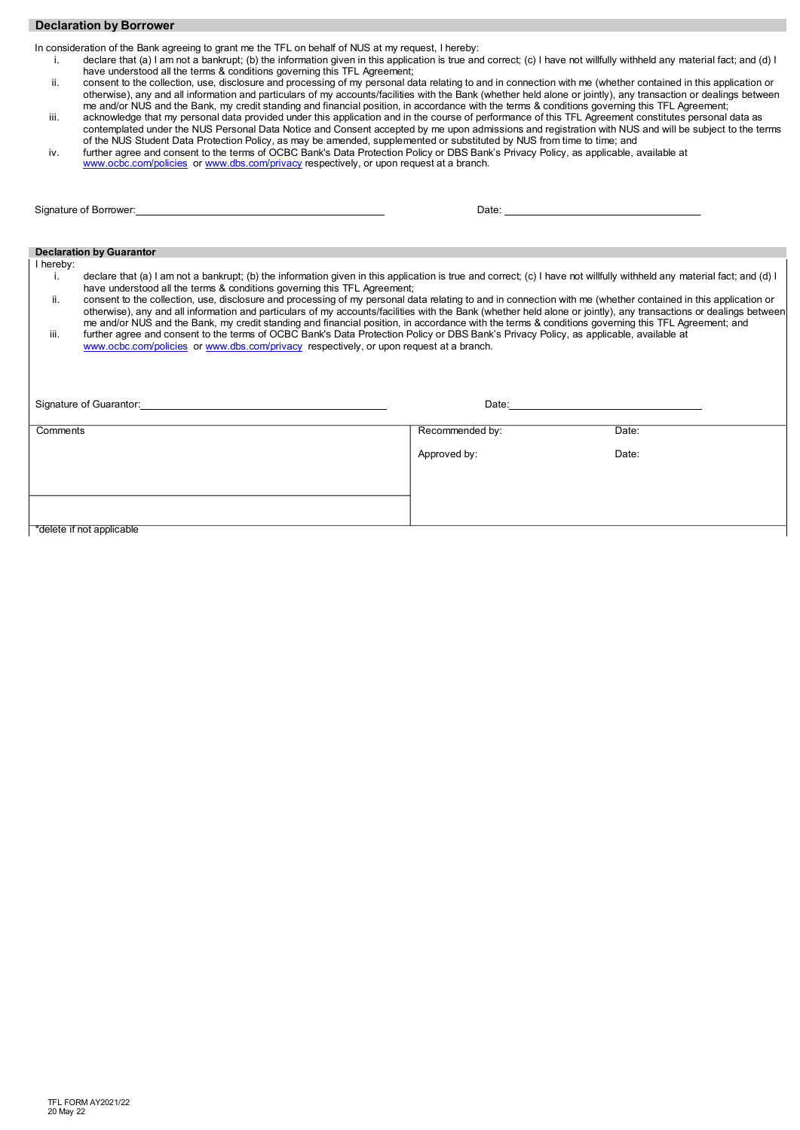## **Declaration by Borrower**

In consideration of the Bank agreeing to grant me the TFL on behalf of NUS at my request, I hereby:

- i. declare that (a) I am not a bankrupt; (b) the information given in this application is true and correct; (c) I have not willfully withheld any material fact; and (d) I have understood all the terms & conditions governing this TFL Agreement;
- ii. consent to the collection, use, disclosure and processing of my personal data relating to and in connection with me (whether contained in this application or otherwise), any and all information and particulars of my accounts/facilities with the Bank (whether held alone or jointly), any transaction or dealings between me and/or NUS and the Bank, my credit standing and financial position, in accordance with the terms & conditions governing this TFL Agreement;
- iii. acknowledge that my personal data provided under this application and in the course of performance of this TFL Agreement constitutes personal data as contemplated under the NUS Personal Data Notice and Consent accepted by me upon admissions and registration with NUS and will be subject to the terms of the NUS Student Data Protection Policy, as may be amended, supplemented or substituted by NUS from time to time; and
- iv. further agree and consent to the terms of OCBC Bank's Data Protection Policy or DBS Bank's Privacy Policy, as applicable, available at [www.ocbc.com/policies](http://www.ocbc.com/policies) or [www.dbs.com/privacy](http://www.dbs.com/privacy) respectively, or upon request at a branch.

| Signature of Borrower: the contract of the contract of the contract of the contract of the contract of the contract of the contract of the contract of the contract of the contract of the contract of the contract of the con                                                                                                            |                 |       |
|-------------------------------------------------------------------------------------------------------------------------------------------------------------------------------------------------------------------------------------------------------------------------------------------------------------------------------------------|-----------------|-------|
|                                                                                                                                                                                                                                                                                                                                           |                 |       |
| <b>Declaration by Guarantor</b>                                                                                                                                                                                                                                                                                                           |                 |       |
| I hereby:                                                                                                                                                                                                                                                                                                                                 |                 |       |
| declare that (a) I am not a bankrupt; (b) the information given in this application is true and correct; (c) I have not willfully withheld any material fact; and (d) I<br>Τ.<br>have understood all the terms & conditions governing this TFL Agreement;                                                                                 |                 |       |
| ii.<br>consent to the collection, use, disclosure and processing of my personal data relating to and in connection with me (whether contained in this application or<br>otherwise), any and all information and particulars of my accounts/facilities with the Bank (whether held alone or jointly), any transactions or dealings between |                 |       |
| me and/or NUS and the Bank, my credit standing and financial position, in accordance with the terms & conditions governing this TFL Agreement; and<br>iii.<br>further agree and consent to the terms of OCBC Bank's Data Protection Policy or DBS Bank's Privacy Policy, as applicable, available at                                      |                 |       |
| www.ocbc.com/policies or www.dbs.com/privacy respectively, or upon request at a branch.                                                                                                                                                                                                                                                   |                 |       |
|                                                                                                                                                                                                                                                                                                                                           |                 |       |
|                                                                                                                                                                                                                                                                                                                                           |                 |       |
| Signature of Guarantor: <b>Alternative Structure of Guarantor:</b>                                                                                                                                                                                                                                                                        |                 |       |
| Comments                                                                                                                                                                                                                                                                                                                                  | Recommended by: | Date: |
|                                                                                                                                                                                                                                                                                                                                           |                 |       |
|                                                                                                                                                                                                                                                                                                                                           | Approved by:    | Date: |
|                                                                                                                                                                                                                                                                                                                                           |                 |       |
|                                                                                                                                                                                                                                                                                                                                           |                 |       |
|                                                                                                                                                                                                                                                                                                                                           |                 |       |
| *delete if not applicable                                                                                                                                                                                                                                                                                                                 |                 |       |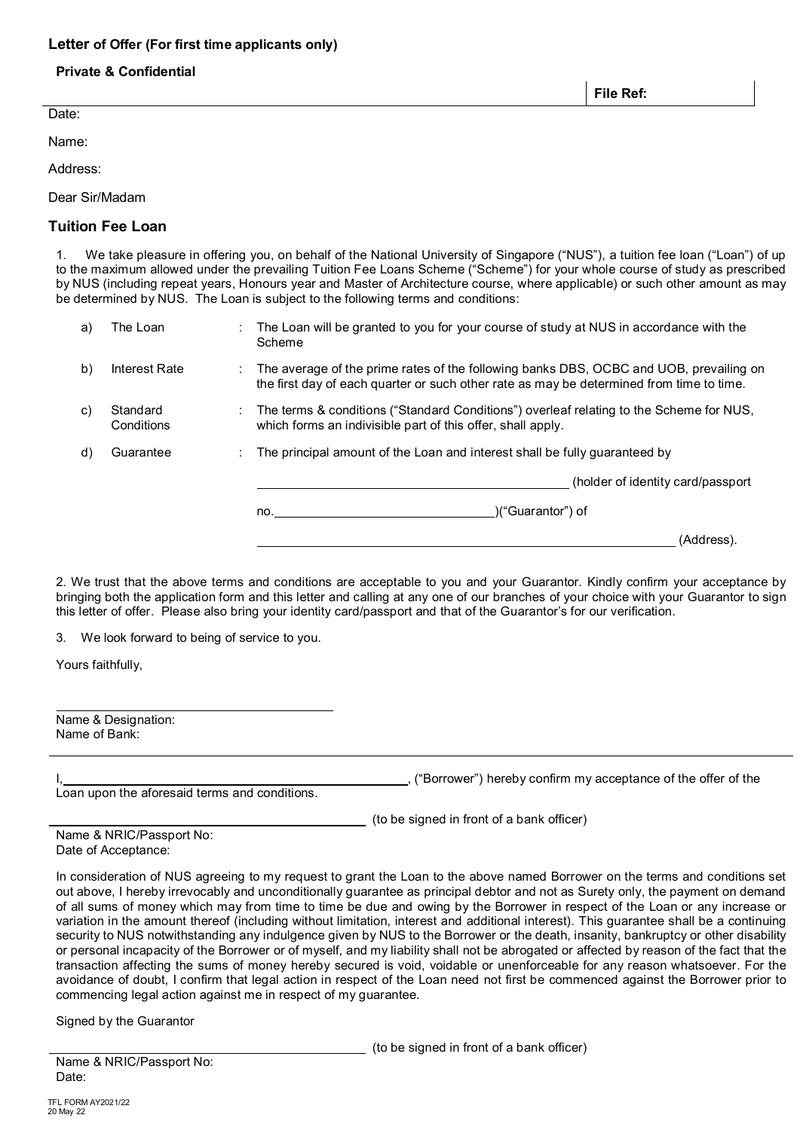## **Letter of Offer (For first time applicants only)**

## **Private & Confidential**

Date:

Name:

Address:

Dear Sir/Madam

# **Tuition Fee Loan**

1. We take pleasure in offering you, on behalf of the National University of Singapore ("NUS"), a tuition fee loan ("Loan") of up to the maximum allowed under the prevailing Tuition Fee Loans Scheme ("Scheme") for your whole course of study as prescribed by NUS (including repeat years, Honours year and Master of Architecture course, where applicable) or such other amount as may be determined by NUS. The Loan is subject to the following terms and conditions:

| a) | The Loan               | The Loan will be granted to you for your course of study at NUS in accordance with the<br>Scheme                                                                                   |
|----|------------------------|------------------------------------------------------------------------------------------------------------------------------------------------------------------------------------|
| b) | Interest Rate          | The average of the prime rates of the following banks DBS, OCBC and UOB, prevailing on<br>the first day of each quarter or such other rate as may be determined from time to time. |
| C) | Standard<br>Conditions | The terms & conditions ("Standard Conditions") overleaf relating to the Scheme for NUS,<br>which forms an indivisible part of this offer, shall apply.                             |
| d) | Guarantee              | The principal amount of the Loan and interest shall be fully quaranteed by                                                                                                         |
|    |                        | (holder of identity card/passport)                                                                                                                                                 |
|    |                        | )("Guarantor") of<br>no.                                                                                                                                                           |
|    |                        | (Address).                                                                                                                                                                         |

2. We trust that the above terms and conditions are acceptable to you and your Guarantor. Kindly confirm your acceptance by bringing both the application form and this letter and calling at any one of our branches of your choice with your Guarantor to sign this letter of offer. Please also bring your identity card/passport and that of the Guarantor's for our verification.

3. We look forward to being of service to you.

Yours faithfully,

| Name & Designation: |  |
|---------------------|--|
| Name of Bank:       |  |
|                     |  |

Loan upon the aforesaid terms and conditions.

("Borrower") hereby confirm my acceptance of the offer of the

(to be signed in front of a bank officer)

| Name & NRIC/Passport No: |
|--------------------------|
| Date of Acceptance:      |

In consideration of NUS agreeing to my request to grant the Loan to the above named Borrower on the terms and conditions set out above, I hereby irrevocably and unconditionally guarantee as principal debtor and not as Surety only, the payment on demand of all sums of money which may from time to time be due and owing by the Borrower in respect of the Loan or any increase or variation in the amount thereof (including without limitation, interest and additional interest). This guarantee shall be a continuing security to NUS notwithstanding any indulgence given by NUS to the Borrower or the death, insanity, bankruptcy or other disability or personal incapacity of the Borrower or of myself, and my liability shall not be abrogated or affected by reason of the fact that the transaction affecting the sums of money hereby secured is void, voidable or unenforceable for any reason whatsoever. For the avoidance of doubt, I confirm that legal action in respect of the Loan need not first be commenced against the Borrower prior to commencing legal action against me in respect of my guarantee.

Signed by the Guarantor

(to be signed in front of a bank officer)

Name & NRIC/Passport No: Date:

**File Ref:**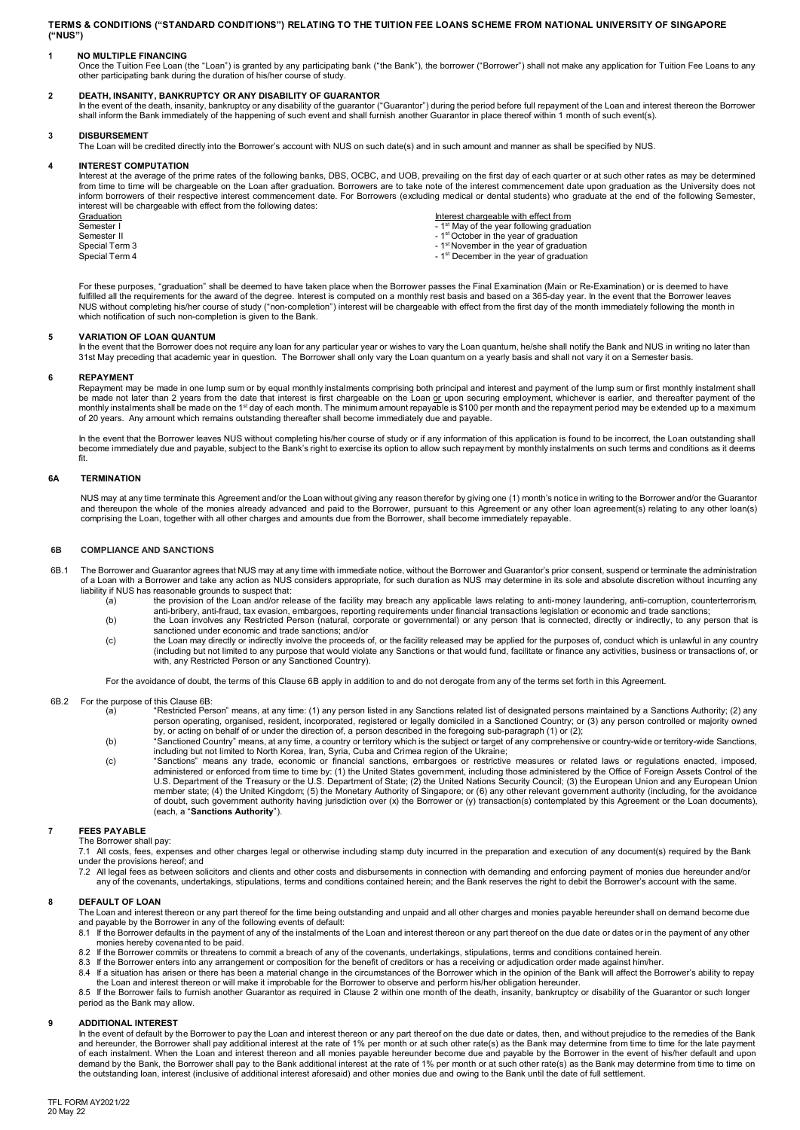**TERMS & CONDITIONS ("STANDARD CONDITIONS") RELATING TO THE TUITION FEE LOANS SCHEME FROM NATIONAL UNIVERSITY OF SINGAPORE ("NUS")**

**1 NO MULTIPLE FINANCING**<br>Once the Tuition Fee Loan (the "Loan") is granted by any participating bank ("the Bank"), the borrower ("Borrower") shall not make any application for Tuition Fee Loans to any<br>other participating

DEATH**, INSANITY, BANKRUPTCY OR ANY DISABILITY OF GUARANTOR**<br>In the event of the death, insanity, bankruptcy or any disability of the guarantor ("Guarantor") during the period before full repayment of the Loan and interest

### **3 DISBURSEMENT**

The Loan will be credited directly into the Borrower's account with NUS on such date(s) and in such amount and manner as shall be specified by NUS.

#### **4 INTEREST COMPUTATION**

Interest at the average of the prime rates of the following banks, DBS, OCBC, and UOB, prevailing on the first day of each quarter or at such other rates as may be determined from time to time will be chargeable on the Loan after graduation. Borrowers are to take note of the interest commencement date upon graduation as the University does not inform borrowers of their respective interest commencement date. For Borrowers (excluding medical or dental students) who graduate at the end of the following Semester, interest will be chargeable with effect from the following dates:

Graduation interest chargeable with effect from interest chargeable with effect from interest chargeable with effect from interest of the year following graduation  $\sim 1^{\rm st}$  May of the year following graduation Semester I<br>
Semester II - 1st October in the year of graduation<br>
Semester II - 1<sup>st</sup> October in the year of graduation<br>
Special Term 3 - 1<sup>st</sup> November in the year of graduation Special Term 3 - 1st November in the year of graduation<br>Special Term 4 - 1st November in the year of graduation<br>Special Term 4

- 
- 
- 1<sup>st</sup> December in the year of graduation

For these purposes, "graduation" shall be deemed to have taken place when the Borrower passes the Final Examination (Main or Re-Examination) or is deemed to have fulfilled all the requirements for the award of the degree. Interest is computed on a monthly rest basis and based on a 365-day year. In the event that the Borrower leaves NUS without completing his/her course of study ("non-completion") interest will be chargeable with effect from the first day of the month immediately following the month in which notification of such non-completion is given to the Bank.

#### **5 VARIATION OF LOAN QUANTUM**

In the event that the Borrower does not require any loan for any particular year or wishes to vary the Loan quantum, he/she shall notify the Bank and NUS in writing no later than 31st May preceding that academic year in question. The Borrower shall only vary the Loan quantum on a yearly basis and shall not vary it on a Semester basis.

**REPAYMENT**<br>Repayment may be made in one lump sum or by equal monthly instalments comprising both principal and interest and payment of the lump sum or first monthly instalment shall<br>be made not later than 2 years from the

In the event that the Borrower leaves NUS without completing his/her course of study or if any information of this application is found to be incorrect, the Loan outstanding shall become immediately due and payable, subject to the Bank's right to exercise its option to allow such repayment by monthly instalments on such terms and conditions as it deems fit.

### **6A TERMINATION**

NUS may at any time terminate this Agreement and/or the Loan without giving any reason therefor by giving one (1) month's notice in writing to the Borrower and/or the Guarantor and thereupon the whole of the monies already advanced and paid to the Borrower, pursuant to this Agreement or any other loan agreement(s) relating to any other loan(s) comprising the Loan, together with all other charges and amounts due from the Borrower, shall become immediately repayable.

#### **6B COMPLIANCE AND SANCTIONS**

- The Borrower and Guarantor agrees that NUS may at any time with immediate notice, without the Borrower and Guarantor's prior consent, suspend or terminate the administration of a Loan with a Borrower and take any action as NUS considers appropriate, for such duration as NUS may determine in its sole and absolute discretion without incurring any liability if NUS has reasonable grounds to suspect that:
	- (a) the provision of the Loan and/or release of the facility may breach any applicable laws relating to anti-money laundering, anti-corruption, counterterrorism,<br>anti-bribery, anti-fraud, tax evasion, embargoes, reporting
	- (b) the Loan involves any Restricted Person (natural, corporate or governmental) or any person that is connected, directly or indirectly, to any person that is sanctioned under economic and trade sanctions; and/or
	- (c) the Loan may directly or indirectly involve the proceeds of, or the facility released may be applied for the purposes of, conduct which is unlawful in any country (including but not limited to any purpose that would violate any Sanctions or that would fund, facilitate or finance any activities, business or transactions of, or with, any Restricted Person or any Sanctioned Country).

For the avoidance of doubt, the terms of this Clause 6B apply in addition to and do not derogate from any of the terms set forth in this Agreement.

- 6B.2 For the purpose of this Clause 6B:
	- (a) "Restricted Person" means, at any time: (1) any person listed in any Sanctions related list of designated persons maintained by a Sanctions Authority; (2) any person operating, organised, resident, incorporated, registered or legally domiciled in a Sanctioned Country; or (3) any person controlled or majority owned<br>by, or acting on behalf of or under the direction of, a person d
	- (b) "Sanctioned Country" means, at any time, a country or territory which is the subject or target of any comprehensive or country-wide or territory-wide Sanctions,
	- including but not limited to North Korea, Iran, Syria, Cuba and Crimea region of the Ukraine;<br>(c) "Sanctions" means any trade, economic or financial sanctions, embargoes or restrictive measures or related laws or regul administered or enforced from time to time by: (1) the United States government, including those administered by the Office of Foreign Assets Control of the U.S. Department of the Treasury or the U.S. Department of State; (2) the United Nations Security Council; (3) the European Union and any European Union<br>member state; (4) the United Kingdom; (5) the Monetary Authority of Si of doubt, such government authority having jurisdiction over (x) the Borrower or (y) transaction(s) contemplated by this Agreement or the Loan documents), (each, a "**Sanctions Authority**").

#### **7 FEES PAYABLE**

The Borrower shall pay: 7.1 All costs, fees, expenses and other charges legal or otherwise including stamp duty incurred in the preparation and execution of any document(s) required by the Bank under the provisions hereof; and

- 
- 7.2 All legal fees as between solicitors and clients and other costs and disbursements in connection with demanding and enforcing payment of monies due hereunder and/or any of the covenants, undertakings, stipulations, terms and conditions contained herein; and the Bank reserves the right to debit the Borrower's account with the same.

### **8 DEFAULT OF LOAN**

The Loan and interest thereon or any part thereof for the time being outstanding and unpaid and all other charges and monies payable hereunder shall on demand become due and payable by the Borrower in any of the following events of default:

- 8.1 If the Borrower defaults in the payment of any of the instalments of the Loan and interest thereon or any part thereof on the due date or dates or in the payment of any other monies hereby covenanted to be paid.
- 8.2 If the Borrower commits or threatens to commit a breach of any of the covenants, undertakings, stipulations, terms and conditions contained herein.
- 
- 8.3 If the Borrower enters into any arrangement or composition for the benefit of creditors or has a receiving or adjudication order made against him/her.<br>8.4 If a situation has arisen or there has been a material change i

8.5 If the Borrower fails to furnish another Guarantor as required in Clause 2 within one month of the death, insanity, bankruptcy or disability of the Guarantor or such longer period as the Bank may allow.

#### **9 ADDITIONAL INTEREST**

In the event of default by the Borrower to pay the Loan and interest thereon or any part thereof on the due date or dates, then, and without prejudice to the remedies of the Bank<br>and hereunder, the Borrower shall pay addit of each instalment. When the Loan and interest thereon and all monies payable hereunder become due and payable by the Borrower in the event of his/her default and upon<br>demand by the Bank, the Borrower shall pay to the Bank the outstanding loan, interest (inclusive of additional interest aforesaid) and other monies due and owing to the Bank until the date of full settlement.